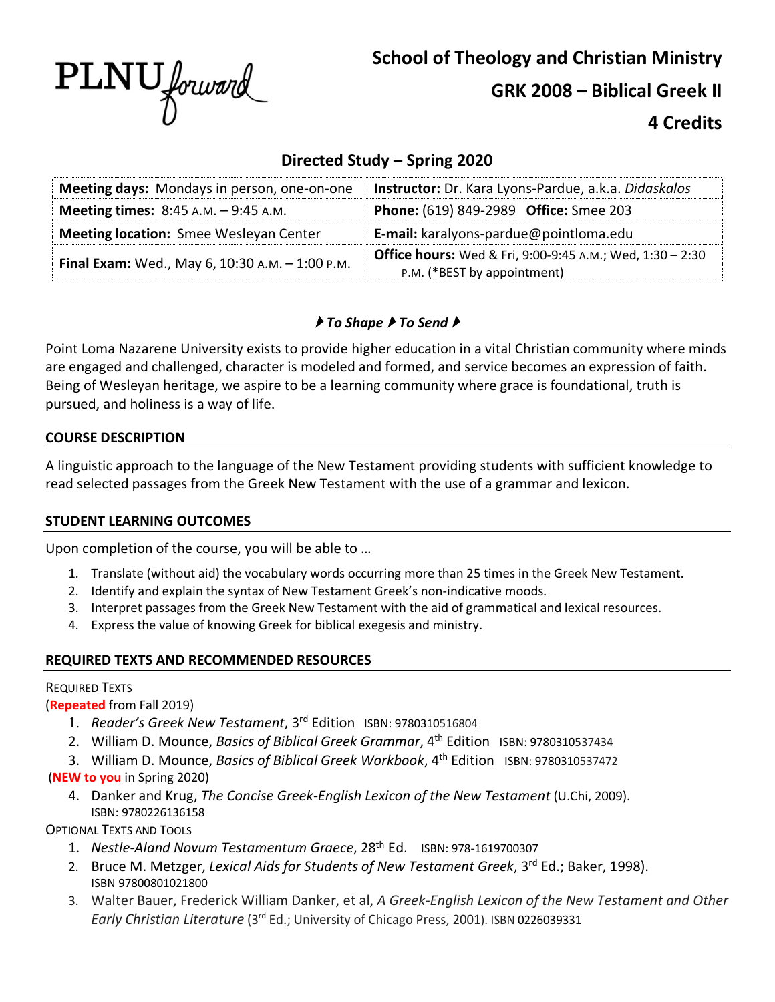

**School of Theology and Christian Ministry GRK 2008 – Biblical Greek II**

# **4 Credits**

# **Directed Study – Spring 2020**

| Meeting days: Mondays in person, one-on-one     | Instructor: Dr. Kara Lyons-Pardue, a.k.a. Didaskalos             |
|-------------------------------------------------|------------------------------------------------------------------|
| <b>Meeting times:</b> $8:45$ A.M. $-9:45$ A.M.  | Phone: (619) 849-2989 Office: Smee 203                           |
| <b>Meeting location:</b> Smee Wesleyan Center   | E-mail: karalyons-pardue@pointloma.edu                           |
| Final Exam: Wed., May 6, 10:30 A.M. - 1:00 P.M. | <b>Office hours:</b> Wed & Fri, 9:00-9:45 A.M.; Wed, 1:30 - 2:30 |
|                                                 | P.M. (*BEST by appointment)                                      |

# } *To Shape* } *To Send* }

Point Loma Nazarene University exists to provide higher education in a vital Christian community where minds are engaged and challenged, character is modeled and formed, and service becomes an expression of faith. Being of Wesleyan heritage, we aspire to be a learning community where grace is foundational, truth is pursued, and holiness is a way of life.

### **COURSE DESCRIPTION**

A linguistic approach to the language of the New Testament providing students with sufficient knowledge to read selected passages from the Greek New Testament with the use of a grammar and lexicon.

### **STUDENT LEARNING OUTCOMES**

Upon completion of the course, you will be able to …

- 1. Translate (without aid) the vocabulary words occurring more than 25 times in the Greek New Testament.
- 2. Identify and explain the syntax of New Testament Greek's non-indicative moods.
- 3. Interpret passages from the Greek New Testament with the aid of grammatical and lexical resources.
- 4. Express the value of knowing Greek for biblical exegesis and ministry.

# **REQUIRED TEXTS AND RECOMMENDED RESOURCES**

# REQUIRED TEXTS

(**Repeated** from Fall 2019)

- 1. *Reader's Greek New Testament*, 3rd Edition ISBN: 9780310516804
- 2. William D. Mounce, *Basics of Biblical Greek Grammar*, 4<sup>th</sup> Edition ISBN: 9780310537434
- 3. William D. Mounce, *Basics of Biblical Greek Workbook*, 4th Edition ISBN: 9780310537472

# (**NEW to you** in Spring 2020)

4. Danker and Krug, *The Concise Greek-English Lexicon of the New Testament* (U.Chi, 2009). ISBN: 9780226136158

OPTIONAL TEXTS AND TOOLS

- 1. *Nestle-Aland Novum Testamentum Graece*, 28th Ed.ISBN: 978-1619700307
- 2. Bruce M. Metzger, *Lexical Aids for Students of New Testament Greek*, 3rd Ed.; Baker, 1998). ISBN 97800801021800
- 3. Walter Bauer, Frederick William Danker, et al, *A Greek-English Lexicon of the New Testament and Other Early Christian Literature* (3<sup>rd</sup> Ed.; University of Chicago Press, 2001). ISBN 0226039331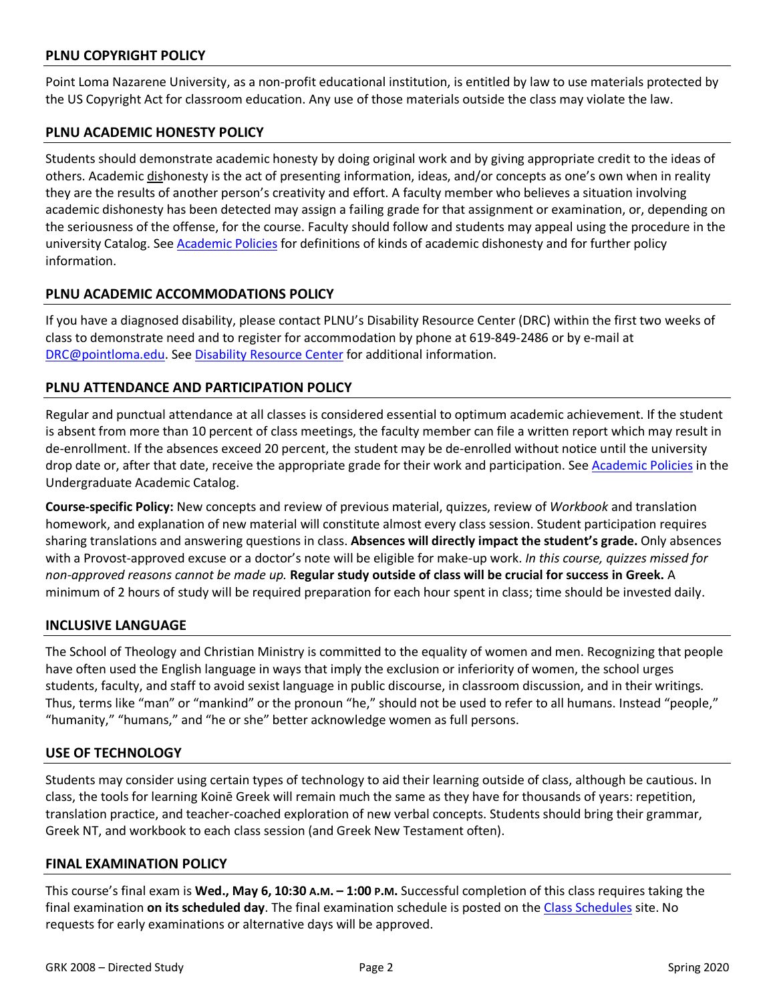### **PLNU COPYRIGHT POLICY**

Point Loma Nazarene University, as a non-profit educational institution, is entitled by law to use materials protected by the US Copyright Act for classroom education. Any use of those materials outside the class may violate the law.

#### **PLNU ACADEMIC HONESTY POLICY**

Students should demonstrate academic honesty by doing original work and by giving appropriate credit to the ideas of others. Academic dishonesty is the act of presenting information, ideas, and/or concepts as one's own when in reality they are the results of another person's creativity and effort. A faculty member who believes a situation involving academic dishonesty has been detected may assign a failing grade for that assignment or examination, or, depending on the seriousness of the offense, for the course. Faculty should follow and students may appeal using the procedure in the university Catalog. See Academic Policies for definitions of kinds of academic dishonesty and for further policy information.

#### **PLNU ACADEMIC ACCOMMODATIONS POLICY**

If you have a diagnosed disability, please contact PLNU's Disability Resource Center (DRC) within the first two weeks of class to demonstrate need and to register for accommodation by phone at 619-849-2486 or by e-mail at DRC@pointloma.edu. See Disability Resource Center for additional information.

#### **PLNU ATTENDANCE AND PARTICIPATION POLICY**

Regular and punctual attendance at all classes is considered essential to optimum academic achievement. If the student is absent from more than 10 percent of class meetings, the faculty member can file a written report which may result in de-enrollment. If the absences exceed 20 percent, the student may be de-enrolled without notice until the university drop date or, after that date, receive the appropriate grade for their work and participation. See Academic Policies in the Undergraduate Academic Catalog.

**Course-specific Policy:** New concepts and review of previous material, quizzes, review of *Workbook* and translation homework, and explanation of new material will constitute almost every class session. Student participation requires sharing translations and answering questions in class. **Absences will directly impact the student's grade.** Only absences with a Provost-approved excuse or a doctor's note will be eligible for make-up work. *In this course, quizzes missed for non-approved reasons cannot be made up.* **Regular study outside of class will be crucial for success in Greek.** A minimum of 2 hours of study will be required preparation for each hour spent in class; time should be invested daily.

#### **INCLUSIVE LANGUAGE**

The School of Theology and Christian Ministry is committed to the equality of women and men. Recognizing that people have often used the English language in ways that imply the exclusion or inferiority of women, the school urges students, faculty, and staff to avoid sexist language in public discourse, in classroom discussion, and in their writings. Thus, terms like "man" or "mankind" or the pronoun "he," should not be used to refer to all humans. Instead "people," "humanity," "humans," and "he or she" better acknowledge women as full persons.

#### **USE OF TECHNOLOGY**

Students may consider using certain types of technology to aid their learning outside of class, although be cautious. In class, the tools for learning Koinē Greek will remain much the same as they have for thousands of years: repetition, translation practice, and teacher-coached exploration of new verbal concepts. Students should bring their grammar, Greek NT, and workbook to each class session (and Greek New Testament often).

#### **FINAL EXAMINATION POLICY**

This course's final exam is **Wed., May 6, 10:30 A.M. – 1:00 P.M.** Successful completion of this class requires taking the final examination **on its scheduled day**. The final examination schedule is posted on the Class Schedules site. No requests for early examinations or alternative days will be approved.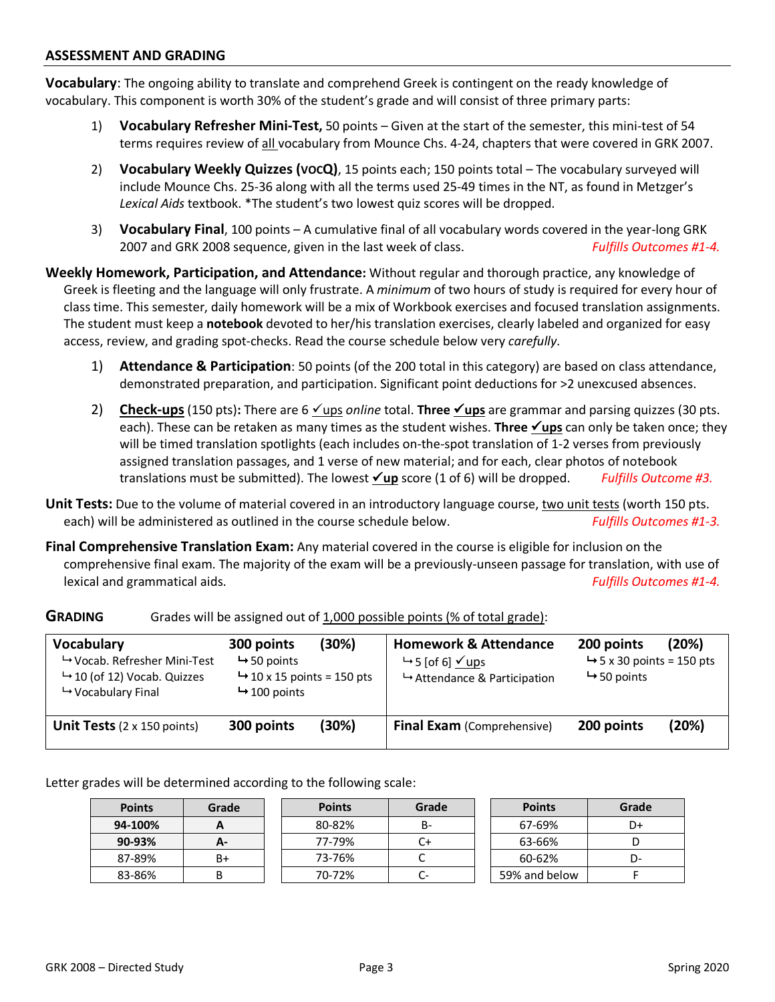#### **ASSESSMENT AND GRADING**

**Vocabulary**: The ongoing ability to translate and comprehend Greek is contingent on the ready knowledge of vocabulary. This component is worth 30% of the student's grade and will consist of three primary parts:

- 1) **Vocabulary Refresher Mini-Test,** 50 points Given at the start of the semester, this mini-test of 54 terms requires review of all vocabulary from Mounce Chs. 4-24, chapters that were covered in GRK 2007.
- 2) **Vocabulary Weekly Quizzes (VOCQ)**, 15 points each; 150 points total The vocabulary surveyed will include Mounce Chs. 25-36 along with all the terms used 25-49 times in the NT, as found in Metzger's *Lexical Aids* textbook. \*The student's two lowest quiz scores will be dropped.
- 3) **Vocabulary Final**, 100 points A cumulative final of all vocabulary words covered in the year-long GRK 2007 and GRK 2008 sequence, given in the last week of class. *Fulfills Outcomes #1-4.*

**Weekly Homework, Participation, and Attendance:** Without regular and thorough practice, any knowledge of Greek is fleeting and the language will only frustrate. A *minimum* of two hours of study is required for every hour of class time. This semester, daily homework will be a mix of Workbook exercises and focused translation assignments. The student must keep a **notebook** devoted to her/his translation exercises, clearly labeled and organized for easy access, review, and grading spot-checks. Read the course schedule below very *carefully*.

- 1) **Attendance & Participation**: 50 points (of the 200 total in this category) are based on class attendance, demonstrated preparation, and participation. Significant point deductions for >2 unexcused absences.
- 2) **Check-ups** (150 pts): There are 6 <u>√ups</u> *online* total. **Three** <u>√ups</u> are grammar and parsing quizzes (30 pts. each). These can be retaken as many times as the student wishes. **Three <u>Yups</u>** can only be taken once; they will be timed translation spotlights (each includes on-the-spot translation of 1-2 verses from previously assigned translation passages, and 1 verse of new material; and for each, clear photos of notebook translations must be submitted). The lowest  $\angle$ up score (1 of 6) will be dropped. *Fulfills Outcome #3.*
- Unit Tests: Due to the volume of material covered in an introductory language course, two unit tests (worth 150 pts. each) will be administered as outlined in the course schedule below. *Fulfills Outcomes #1-3.*
- **Final Comprehensive Translation Exam:** Any material covered in the course is eligible for inclusion on the comprehensive final exam. The majority of the exam will be a previously-unseen passage for translation, with use of lexical and grammatical aids. *Fulfills Outcomes #1-4.*

| <b>Vocabulary</b><br>$\mapsto$ Vocab. Refresher Mini-Test<br>$\rightarrow$ 10 (of 12) Vocab. Quizzes<br>$\mapsto$ Vocabulary Final | (30%)<br>300 points<br>$\rightarrow$ 50 points<br>$\rightarrow$ 10 x 15 points = 150 pts<br>$\rightarrow$ 100 points |       | <b>Homework &amp; Attendance</b><br>$\rightarrow$ 5 [of 6] $\checkmark$ ups<br>$\rightarrow$ Attendance & Participation | (20%)<br>200 points<br>$\rightarrow$ 5 x 30 points = 150 pts<br>$\rightarrow$ 50 points |       |
|------------------------------------------------------------------------------------------------------------------------------------|----------------------------------------------------------------------------------------------------------------------|-------|-------------------------------------------------------------------------------------------------------------------------|-----------------------------------------------------------------------------------------|-------|
| <b>Unit Tests</b> $(2 \times 150 \text{ points})$                                                                                  | 300 points                                                                                                           | (30%) | <b>Final Exam</b> (Comprehensive)                                                                                       | 200 points                                                                              | (20%) |

**GRADING** Grades will be assigned out of 1,000 possible points (% of total grade):

Letter grades will be determined according to the following scale:

| <b>Points</b> | Grade     | <b>Points</b> | Grade | <b>Points</b> | Grade |
|---------------|-----------|---------------|-------|---------------|-------|
| 94-100%       | <b>17</b> | 80-82%        | B-    | 67-69%        | D+    |
| 90-93%        | $A-$      | 77-79%        | C+    | 63-66%        |       |
| 87-89%        | B+        | 73-76%        | ◡     | 60-62%        | D-    |
| 83-86%        |           | 70-72%        | C-    | 59% and below |       |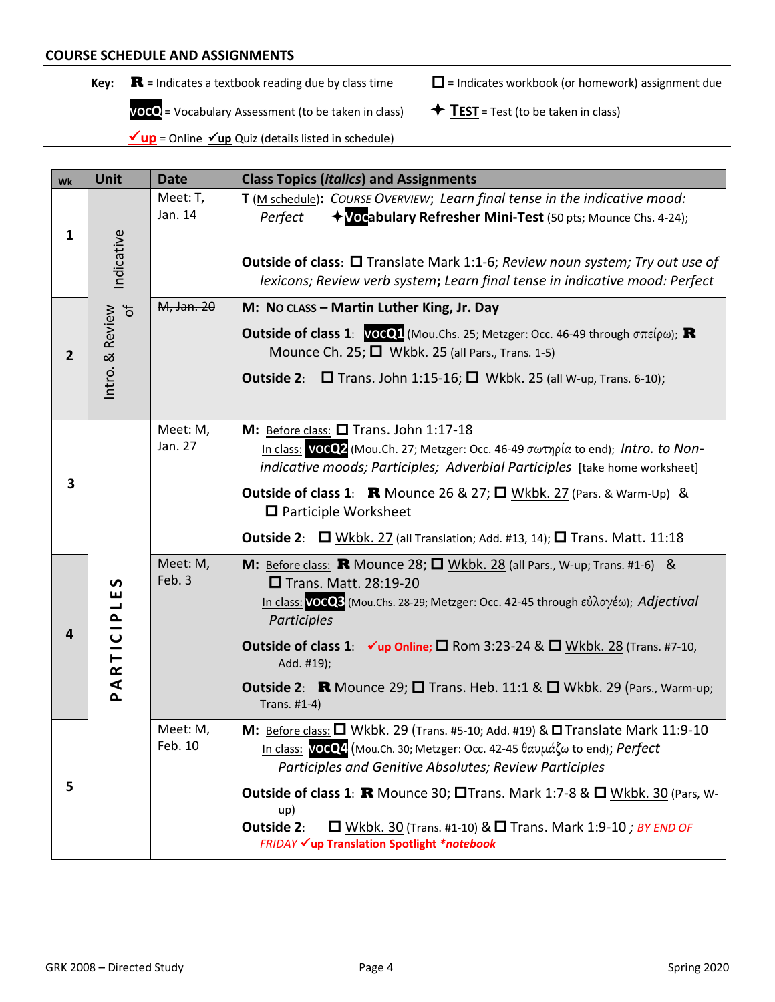- 
- **Key:**  $\mathbf{R}$  = Indicates a textbook reading due by class time  $\Box$  = Indicates workbook (or homework) assignment due

 **VOCQ** = Vocabulary Assessment (to be taken in class)  $\qquad \qquad \bigstar \frac{TEST}{TEST}$  = Test (to be taken in class)

 $\nu$ **up** = Online  $\nu$ **up** Quiz (details listed in schedule)

| Wk             | <b>Unit</b>                                                   | <b>Date</b>         | <b>Class Topics (italics) and Assignments</b>                                                                                                                                                                                                                                                                                                                                                                                                                                 |
|----------------|---------------------------------------------------------------|---------------------|-------------------------------------------------------------------------------------------------------------------------------------------------------------------------------------------------------------------------------------------------------------------------------------------------------------------------------------------------------------------------------------------------------------------------------------------------------------------------------|
| $\mathbf{1}$   | Indicative                                                    | Meet: T,<br>Jan. 14 | T (M schedule): COURSE OVERVIEW; Learn final tense in the indicative mood:<br>+Vocabulary Refresher Mini-Test (50 pts; Mounce Chs. 4-24);<br>Perfect<br><b>Outside of class: O</b> Translate Mark 1:1-6; Review noun system; Try out use of<br>lexicons; Review verb system; Learn final tense in indicative mood: Perfect                                                                                                                                                    |
| $\overline{2}$ | Intro. & Review<br>of                                         | M, Jan. 20          | M: No class - Martin Luther King, Jr. Day<br><b>Outside of class 1:</b> $VOCQ1$ (Mou.Chs. 25; Metzger: Occ. 46-49 through $\sigma \pi \epsilon (\rho \omega)$ ; <b>R</b><br>Mounce Ch. 25; D Wkbk. 25 (all Pars., Trans. 1-5)<br><b>Outside 2:</b><br>$\Box$ Trans. John 1:15-16; $\Box$ Wkbk. 25 (all W-up, Trans. 6-10);                                                                                                                                                    |
| 3              |                                                               | Meet: M,<br>Jan. 27 | M: Before class: $\square$ Trans. John 1:17-18<br>In class: VOCO2 (Mou.Ch. 27; Metzger: Occ. 46-49 σωτηρία to end); Intro. to Non-<br>indicative moods; Participles; Adverbial Participles [take home worksheet]<br><b>Outside of class 1:</b> R Mounce 26 & 27; $\Box$ Wkbk. 27 (Pars. & Warm-Up) &<br>$\Box$ Participle Worksheet<br><b>Outside 2:</b> $\Box$ Wkbk. 27 (all Translation; Add. #13, 14); $\Box$ Trans. Matt. 11:18                                           |
| 4              | ပ<br>ш<br>$\overline{\phantom{a}}$<br>ARTICIP<br>$\mathbf{r}$ | Meet: M,<br>Feb. 3  | M: Before class: R Mounce 28; $\Box$ Wkbk. 28 (all Pars., W-up; Trans. #1-6) &<br>□ Trans. Matt. 28:19-20<br>In class: VOCQ3 (Mou.Chs. 28-29; Metzger: Occ. 42-45 through εὐλογέω); Adjectival<br>Participles<br><b>Outside of class 1:</b> $\checkmark$ up Online; $\Box$ Rom 3:23-24 & $\Box$ Wkbk. 28 (Trans. #7-10,<br>Add. #19);<br><b>Outside 2:</b> R Mounce 29; $\square$ Trans. Heb. 11:1 & $\square$ Wkbk. 29 (Pars., Warm-up;<br>Trans. #1-4)                      |
| 5              |                                                               | Meet: M,<br>Feb. 10 | M: Before class: $\Box$ Wkbk. 29 (Trans. #5-10; Add. #19) & $\Box$ Translate Mark 11:9-10<br>In class: VOCQ4 (Mou.Ch. 30; Metzger: Occ. 42-45 θαυμάζω to end); Perfect<br>Participles and Genitive Absolutes; Review Participles<br><b>Outside of class 1: R</b> Mounce 30; $\Box$ Trans. Mark 1:7-8 & $\Box$ Wkbk. 30 (Pars, W-<br>up)<br>Outside 2:<br>$\Box$ Wkbk. 30 (Trans. #1-10) & $\Box$ Trans. Mark 1:9-10 ; BY END OF<br>FRIDAY Vup Translation Spotlight *notebook |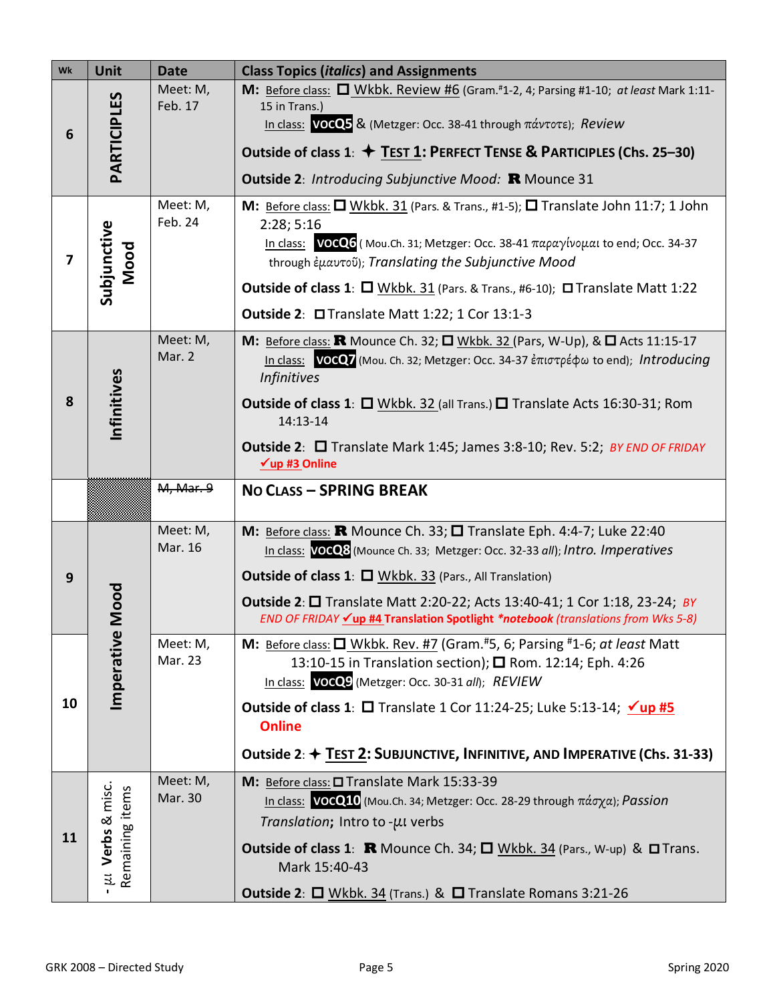| Wk | Unit                                       | <b>Date</b>         | <b>Class Topics (italics) and Assignments</b>                                                                                                                                                                                                                                                                                                                                                                                    |  |  |
|----|--------------------------------------------|---------------------|----------------------------------------------------------------------------------------------------------------------------------------------------------------------------------------------------------------------------------------------------------------------------------------------------------------------------------------------------------------------------------------------------------------------------------|--|--|
| 6  | PARTICIPLES                                | Meet: M,<br>Feb. 17 | M: Before class: U Wkbk. Review #6 (Gram.#1-2, 4; Parsing #1-10; at least Mark 1:11-<br>15 in Trans.)<br>In class: VOCQ5 & (Metzger: Occ. 38-41 through πάντοτε); Review<br>Outside of class 1: $\div$ TEST 1: PERFECT TENSE & PARTICIPLES (Chs. 25-30)<br><b>Outside 2: Introducing Subjunctive Mood: R Mounce 31</b>                                                                                                           |  |  |
| 7  | Subjunctive<br>Mood                        | Meet: M,<br>Feb. 24 | M: Before class: $\Box$ Wkbk. 31 (Pars. & Trans., #1-5); $\Box$ Translate John 11:7; 1 John<br>2:28; 5:16<br>In class: VOCQ6 (Mou.Ch. 31; Metzger: Occ. 38-41 παραγίνομαι to end; Occ. 34-37<br>through έμαυτοῦ); Translating the Subjunctive Mood<br><b>Outside of class 1</b> : $\Box$ Wkbk. 31 (Pars. & Trans., #6-10); $\Box$ Translate Matt 1:22<br>Outside 2: □ Translate Matt 1:22; 1 Cor 13:1-3                          |  |  |
| 8  | Infinitives                                | Meet: M,<br>Mar. 2  | M: Before class: R Mounce Ch. 32; O Wkbk. 32 (Pars, W-Up), & O Acts 11:15-17<br>In class: VOCO7 (Mou. Ch. 32; Metzger: Occ. 34-37 ἐπιστρέφω to end); Introducing<br><b>Infinitives</b><br><b>Outside of class 1:</b> $\Box$ Wkbk. 32 (all Trans.) $\Box$ Translate Acts 16:30-31; Rom<br>14:13-14<br><b>Outside 2:</b> □ Translate Mark 1:45; James 3:8-10; Rev. 5:2; BY END OF FRIDAY<br>$\nu$ up #3 Online                     |  |  |
|    |                                            | M, Mar. 9           | <b>NO CLASS - SPRING BREAK</b>                                                                                                                                                                                                                                                                                                                                                                                                   |  |  |
| 9  | Mood                                       | Meet: M,<br>Mar. 16 | M: Before class: <b>R</b> Mounce Ch. 33; $\square$ Translate Eph. 4:4-7; Luke 22:40<br>In class: VOCO8 (Mounce Ch. 33; Metzger: Occ. 32-33 all); Intro. Imperatives<br><b>Outside of class 1: O Wkbk. 33 (Pars., All Translation)</b><br><b>Outside 2:</b> $\Box$ Translate Matt 2:20-22; Acts 13:40-41; 1 Cor 1:18, 23-24; <i>BY</i><br>END OF FRIDAY <u>√up #4</u> Translation Spotlight *notebook (translations from Wks 5-8) |  |  |
| 10 | Imperative                                 | Meet: M,<br>Mar. 23 | M: Before class: $\Box$ Wkbk. Rev. #7 (Gram.#5, 6; Parsing #1-6; at least Matt<br>13:10-15 in Translation section); □ Rom. 12:14; Eph. 4:26<br>In class: VOCQ9 (Metzger: Occ. 30-31 all); REVIEW<br><b>Outside of class 1:</b> $\Box$ Translate 1 Cor 11:24-25; Luke 5:13-14; $\angle$ up #5<br><b>Online</b><br>Outside 2: + TEST 2: SUBJUNCTIVE, INFINITIVE, AND IMPERATIVE (Chs. 31-33)                                       |  |  |
| 11 | - $\mu$ . Verbs & misc.<br>Remaining items | Meet: M,<br>Mar. 30 | M: Before class: O Translate Mark 15:33-39<br>In class: VOCQ10 (Mou.Ch. 34; Metzger: Occ. 28-29 through πάσχα); Passion<br>Translation; Intro to -µI verbs<br><b>Outside of class 1: R</b> Mounce Ch. 34; $\Box$ Wkbk. 34 (Pars., W-up) & $\Box$ Trans.<br>Mark 15:40-43<br><b>Outside 2: <math>\Box</math></b> Wkbk. 34 (Trans.) & $\Box$ Translate Romans 3:21-26                                                              |  |  |